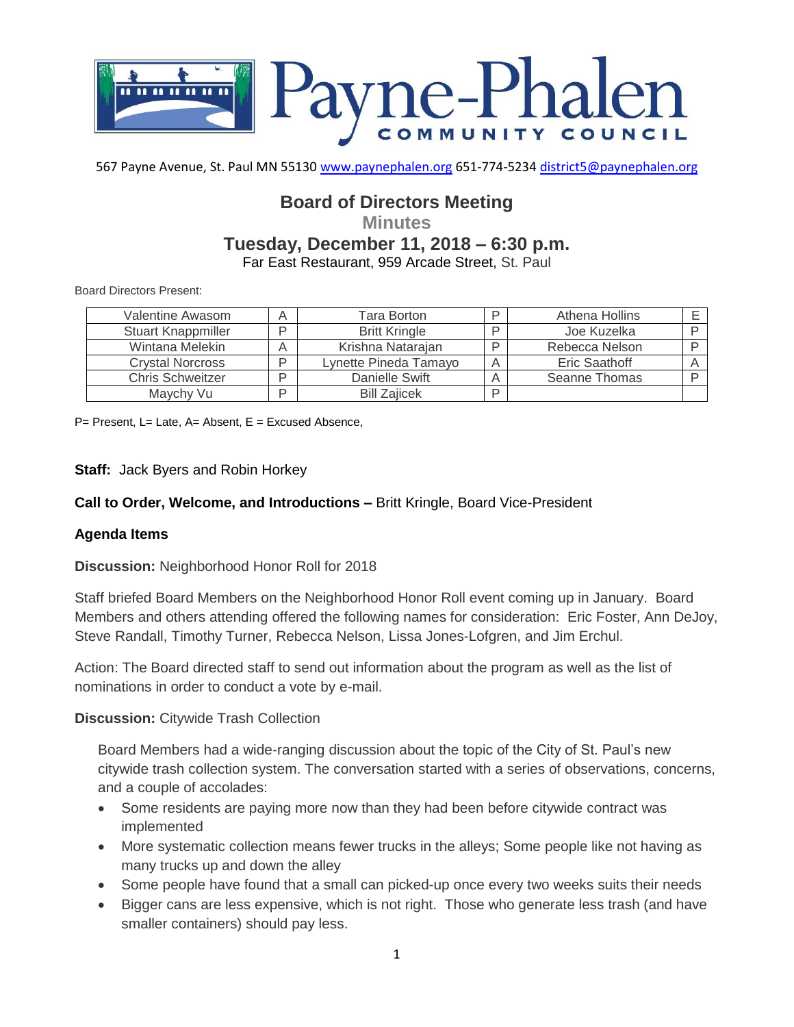

567 Payne Avenue, St. Paul MN 55130 [www.paynephalen.org](http://www.paynephalen.org/) 651-774-5234 [district5@paynephalen.org](mailto:district5@paynephalen.org)

# **Board of Directors Meeting**

**Minutes**

## **Tuesday, December 11, 2018 – 6:30 p.m.**

Far East Restaurant, 959 Arcade Street, St. Paul

Board Directors Present:

| Valentine Awasom          | Α | Tara Borton           | Athena Hollins |  |
|---------------------------|---|-----------------------|----------------|--|
| <b>Stuart Knappmiller</b> | ח | <b>Britt Kringle</b>  | Joe Kuzelka    |  |
| Wintana Melekin           |   | Krishna Natarajan     | Rebecca Nelson |  |
| <b>Crystal Norcross</b>   | D | Lynette Pineda Tamayo | Eric Saathoff  |  |
| <b>Chris Schweitzer</b>   | ח | Danielle Swift        | Seanne Thomas  |  |
| Maychy Vu                 | D | <b>Bill Zaiicek</b>   |                |  |

P= Present, L= Late, A= Absent, E = Excused Absence,

### **Staff:** Jack Byers and Robin Horkey

### **Call to Order, Welcome, and Introductions –** Britt Kringle, Board Vice-President

### **Agenda Items**

### **Discussion:** Neighborhood Honor Roll for 2018

Staff briefed Board Members on the Neighborhood Honor Roll event coming up in January. Board Members and others attending offered the following names for consideration: Eric Foster, Ann DeJoy, Steve Randall, Timothy Turner, Rebecca Nelson, Lissa Jones-Lofgren, and Jim Erchul.

Action: The Board directed staff to send out information about the program as well as the list of nominations in order to conduct a vote by e-mail.

### **Discussion:** Citywide Trash Collection

Board Members had a wide-ranging discussion about the topic of the City of St. Paul's new citywide trash collection system. The conversation started with a series of observations, concerns, and a couple of accolades:

- Some residents are paying more now than they had been before citywide contract was implemented
- More systematic collection means fewer trucks in the alleys; Some people like not having as many trucks up and down the alley
- Some people have found that a small can picked-up once every two weeks suits their needs
- Bigger cans are less expensive, which is not right. Those who generate less trash (and have smaller containers) should pay less.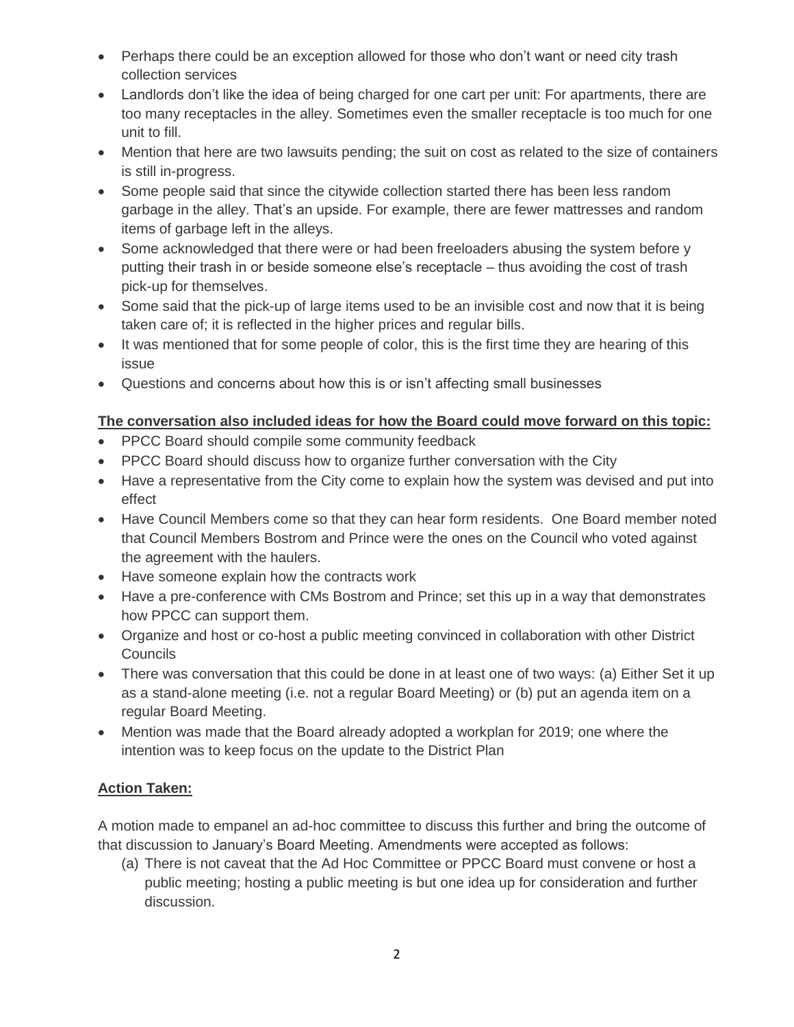- Perhaps there could be an exception allowed for those who don't want or need city trash collection services
- Landlords don't like the idea of being charged for one cart per unit: For apartments, there are too many receptacles in the alley. Sometimes even the smaller receptacle is too much for one unit to fill.
- Mention that here are two lawsuits pending; the suit on cost as related to the size of containers is still in-progress.
- Some people said that since the citywide collection started there has been less random garbage in the alley. That's an upside. For example, there are fewer mattresses and random items of garbage left in the alleys.
- Some acknowledged that there were or had been freeloaders abusing the system before y putting their trash in or beside someone else's receptacle – thus avoiding the cost of trash pick-up for themselves.
- Some said that the pick-up of large items used to be an invisible cost and now that it is being taken care of; it is reflected in the higher prices and regular bills.
- It was mentioned that for some people of color, this is the first time they are hearing of this issue
- Questions and concerns about how this is or isn't affecting small businesses

## **The conversation also included ideas for how the Board could move forward on this topic:**

- PPCC Board should compile some community feedback
- PPCC Board should discuss how to organize further conversation with the City
- Have a representative from the City come to explain how the system was devised and put into effect
- Have Council Members come so that they can hear form residents. One Board member noted that Council Members Bostrom and Prince were the ones on the Council who voted against the agreement with the haulers.
- Have someone explain how the contracts work
- Have a pre-conference with CMs Bostrom and Prince; set this up in a way that demonstrates how PPCC can support them.
- Organize and host or co-host a public meeting convinced in collaboration with other District **Councils**
- There was conversation that this could be done in at least one of two ways: (a) Either Set it up as a stand-alone meeting (i.e. not a regular Board Meeting) or (b) put an agenda item on a regular Board Meeting.
- Mention was made that the Board already adopted a workplan for 2019; one where the intention was to keep focus on the update to the District Plan

# **Action Taken:**

A motion made to empanel an ad-hoc committee to discuss this further and bring the outcome of that discussion to January's Board Meeting. Amendments were accepted as follows:

(a) There is not caveat that the Ad Hoc Committee or PPCC Board must convene or host a public meeting; hosting a public meeting is but one idea up for consideration and further discussion.